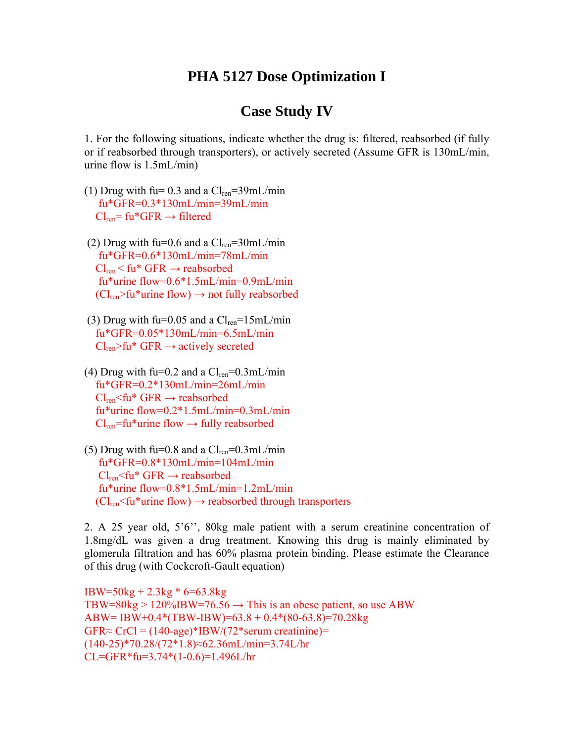## **PHA 5127 Dose Optimization I**

## **Case Study IV**

1. For the following situations, indicate whether the drug is: filtered, reabsorbed (if fully or if reabsorbed through transporters), or actively secreted (Assume GFR is 130mL/min, urine flow is 1.5mL/min)

- (1) Drug with fu=  $0.3$  and a  $Cl_{ren} = 39$ mL/min fu\*GFR=0.3\*130mL/min=39mL/min  $Cl_{ren}$ = fu\*GFR  $\rightarrow$  filtered
- (2) Drug with fu=0.6 and a  $Cl_{ren} = 30$ mL/min fu\*GFR=0.6\*130mL/min=78mL/min  $Cl_{ren}$  < fu\* GFR  $\rightarrow$  reabsorbed fu\*urine flow=0.6\*1.5mL/min=0.9mL/min  $(Cl_{ren}>fu^*$ urine flow)  $\rightarrow$  not fully reabsorbed
- (3) Drug with fu=0.05 and a  $Cl_{ren} = 15$ mL/min fu\*GFR=0.05\*130mL/min=6.5mL/min  $Cl_{ren}$ >fu\* GFR  $\rightarrow$  actively secreted
- (4) Drug with fu=0.2 and a  $Cl_{ren} = 0.3$ mL/min fu\*GFR=0.2\*130mL/min=26mL/min  $Cl_{ren}$   $\leq$  fu\* GFR  $\rightarrow$  reabsorbed fu\*urine flow=0.2\*1.5mL/min=0.3mL/min  $Cl_{ren}$ =fu\*urine flow  $\rightarrow$  fully reabsorbed
- (5) Drug with fu= $0.8$  and a  $Cl_{ren} = 0.3$ mL/min fu\*GFR=0.8\*130mL/min=104mL/min  $Cl_{ren}$  GFR  $\rightarrow$  reabsorbed fu\*urine flow=0.8\*1.5mL/min=1.2mL/min  $(Cl_{ren}$ <fu\*urine flow)  $\rightarrow$  reabsorbed through transporters

2. A 25 year old, 5'6'', 80kg male patient with a serum creatinine concentration of 1.8mg/dL was given a drug treatment. Knowing this drug is mainly eliminated by glomerula filtration and has 60% plasma protein binding. Please estimate the Clearance of this drug (with Cockcroft-Gault equation)

IBW=50kg + 2.3kg \* 6=63.8kg TBW=80kg > 120%IBW=76.56  $\rightarrow$  This is an obese patient, so use ABW ABW= IBW+0.4\*(TBW-IBW)=63.8 + 0.4\*(80-63.8)=70.28kg  $GFR \approx C rCl = (140 \text{-age}) \cdot \text{IBW}/(72 \cdot \text{serum creationine}) =$ (140-25)\*70.28/(72\*1.8)≈62.36mL/min=3.74L/hr CL=GFR\*fu=3.74\*(1-0.6)=1.496L/hr